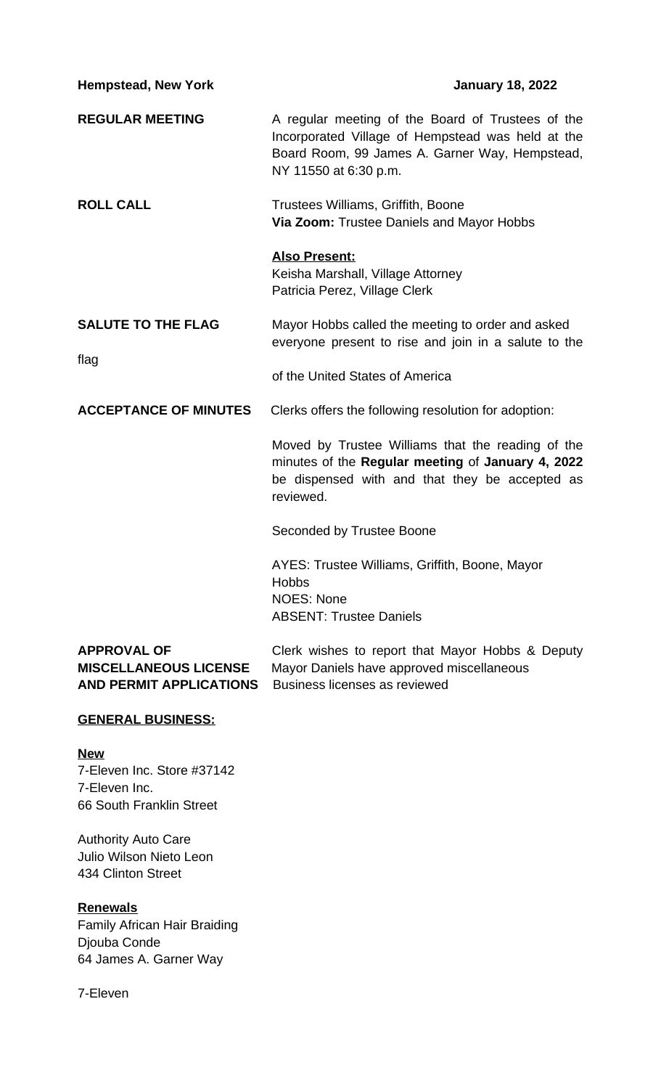| <b>Hempstead, New York</b>        | <b>January 18, 2022</b>                                                                                                                                                           |
|-----------------------------------|-----------------------------------------------------------------------------------------------------------------------------------------------------------------------------------|
| <b>REGULAR MEETING</b>            | A regular meeting of the Board of Trustees of the<br>Incorporated Village of Hempstead was held at the<br>Board Room, 99 James A. Garner Way, Hempstead,<br>NY 11550 at 6:30 p.m. |
| <b>ROLL CALL</b>                  | Trustees Williams, Griffith, Boone<br>Via Zoom: Trustee Daniels and Mayor Hobbs                                                                                                   |
|                                   | <b>Also Present:</b><br>Keisha Marshall, Village Attorney<br>Patricia Perez, Village Clerk                                                                                        |
| <b>SALUTE TO THE FLAG</b><br>flag | Mayor Hobbs called the meeting to order and asked<br>everyone present to rise and join in a salute to the                                                                         |
|                                   | of the United States of America                                                                                                                                                   |
| <b>ACCEPTANCE OF MINUTES</b>      | Clerks offers the following resolution for adoption:                                                                                                                              |
|                                   | Moved by Trustee Williams that the reading of the<br>minutes of the Regular meeting of January 4, 2022<br>be dispensed with and that they be accepted as<br>reviewed.             |
|                                   | Seconded by Trustee Boone                                                                                                                                                         |
|                                   | AYES: Trustee Williams, Griffith, Boone, Mayor<br><b>Hobbs</b><br><b>NOES: None</b><br><b>ABSENT: Trustee Daniels</b>                                                             |
| <b>APPROVAL OF</b>                | Clerk wishes to report that Mayor Hobbs & Deputy                                                                                                                                  |

| <b>APPROVAL OF</b>                                           | Clerk wishes to report that Mayor Hobbs & Deputy |
|--------------------------------------------------------------|--------------------------------------------------|
| <b>MISCELLANEOUS LICENSE</b>                                 | Mayor Daniels have approved miscellaneous        |
| <b>AND PERMIT APPLICATIONS</b> Business licenses as reviewed |                                                  |

## **GENERAL BUSINESS:**

### **New**

7-Eleven Inc. Store #37142 7-Eleven Inc. 66 South Franklin Street

Authority Auto Care Julio Wilson Nieto Leon 434 Clinton Street

### **Renewals**

Family African Hair Braiding Djouba Conde 64 James A. Garner Way

7-Eleven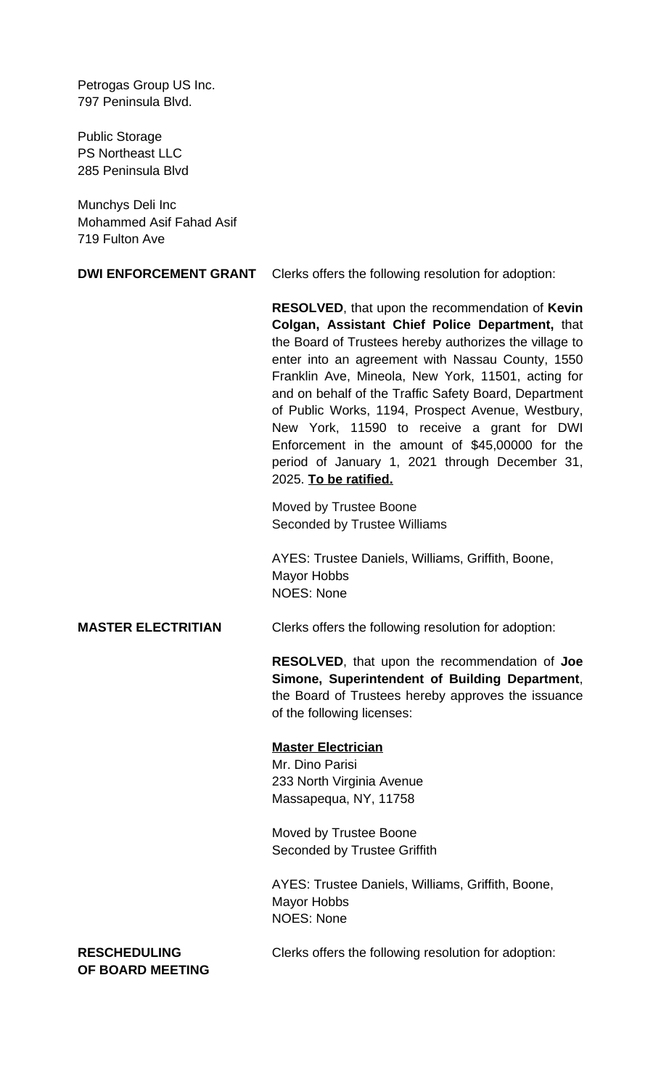Petrogas Group US Inc. 797 Peninsula Blvd.

Public Storage PS Northeast LLC 285 Peninsula Blvd

Munchys Deli Inc Mohammed Asif Fahad Asif 719 Fulton Ave

**DWI ENFORCEMENT GRANT** Clerks offers the following resolution for adoption:

**RESOLVED**, that upon the recommendation of **Kevin Colgan, Assistant Chief Police Department,** that the Board of Trustees hereby authorizes the village to enter into an agreement with Nassau County, 1550 Franklin Ave, Mineola, New York, 11501, acting for and on behalf of the Traffic Safety Board, Department of Public Works, 1194, Prospect Avenue, Westbury, New York, 11590 to receive a grant for DWI Enforcement in the amount of \$45,00000 for the period of January 1, 2021 through December 31, 2025. **To be ratified.**

Moved by Trustee Boone Seconded by Trustee Williams

AYES: Trustee Daniels, Williams, Griffith, Boone, Mayor Hobbs NOES: None

#### **MASTER ELECTRITIAN** Clerks offers the following resolution for adoption:

**RESOLVED**, that upon the recommendation of **Joe Simone, Superintendent of Building Department**, the Board of Trustees hereby approves the issuance of the following licenses:

#### **Master Electrician**

Mr. Dino Parisi 233 North Virginia Avenue Massapequa, NY, 11758

Moved by Trustee Boone Seconded by Trustee Griffith

AYES: Trustee Daniels, Williams, Griffith, Boone, Mayor Hobbs NOES: None

**RESCHEDULING** Clerks offers the following resolution for adoption:

**OF BOARD MEETING**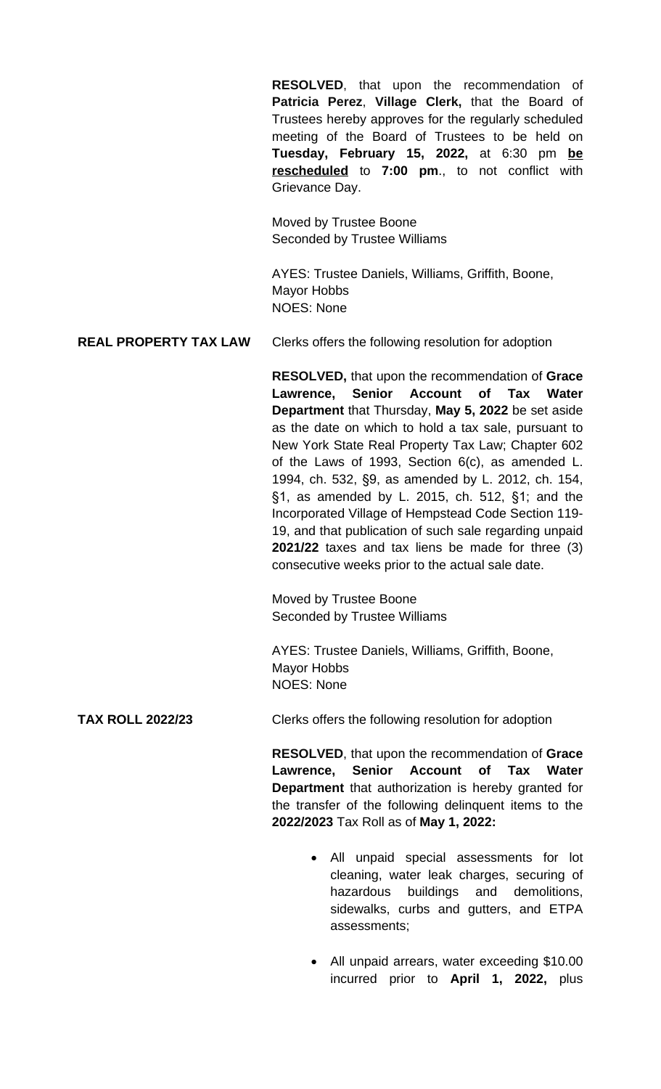**RESOLVED**, that upon the recommendation of **Patricia Perez**, **Village Clerk,** that the Board of Trustees hereby approves for the regularly scheduled meeting of the Board of Trustees to be held on **Tuesday, February 15, 2022,** at 6:30 pm **be rescheduled** to **7:00 pm**., to not conflict with Grievance Day.

Moved by Trustee Boone Seconded by Trustee Williams

AYES: Trustee Daniels, Williams, Griffith, Boone, Mayor Hobbs NOES: None

### **REAL PROPERTY TAX LAW** Clerks offers the following resolution for adoption

**RESOLVED,** that upon the recommendation of **Grace Lawrence, Senior Account of Tax Water Department** that Thursday, **May 5, 2022** be set aside as the date on which to hold a tax sale, pursuant to New York State Real Property Tax Law; Chapter 602 of the Laws of 1993, Section 6(c), as amended L. 1994, ch. 532, §9, as amended by L. 2012, ch. 154, §1, as amended by L. 2015, ch. 512, §1; and the Incorporated Village of Hempstead Code Section 119- 19, and that publication of such sale regarding unpaid **2021/22** taxes and tax liens be made for three (3) consecutive weeks prior to the actual sale date.

Moved by Trustee Boone Seconded by Trustee Williams

AYES: Trustee Daniels, Williams, Griffith, Boone, Mayor Hobbs NOES: None

**TAX ROLL 2022/23** Clerks offers the following resolution for adoption

**RESOLVED**, that upon the recommendation of **Grace Lawrence, Senior Account of Tax Water Department** that authorization is hereby granted for the transfer of the following delinquent items to the **2022/2023** Tax Roll as of **May 1, 2022:**

- All unpaid special assessments for lot cleaning, water leak charges, securing of hazardous buildings and demolitions, sidewalks, curbs and gutters, and ETPA assessments;
- All unpaid arrears, water exceeding \$10.00 incurred prior to **April 1, 2022,** plus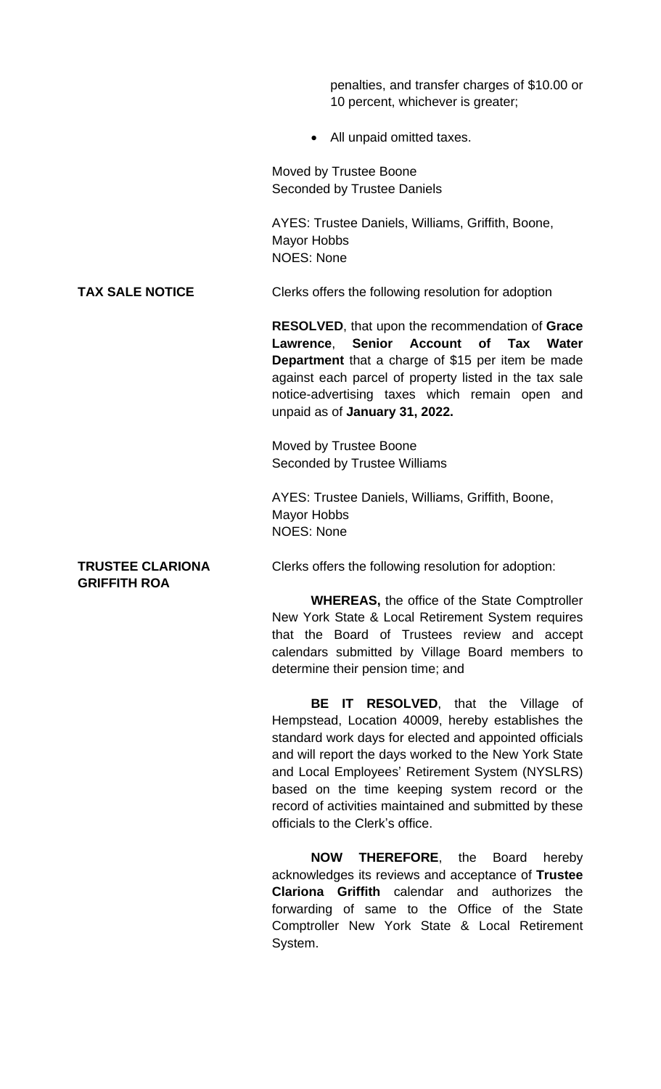penalties, and transfer charges of \$10.00 or 10 percent, whichever is greater;

• All unpaid omitted taxes.

Moved by Trustee Boone Seconded by Trustee Daniels

AYES: Trustee Daniels, Williams, Griffith, Boone, Mayor Hobbs NOES: None

**TAX SALE NOTICE** Clerks offers the following resolution for adoption

**RESOLVED**, that upon the recommendation of **Grace Lawrence**, **Senior Account of Tax Water Department** that a charge of \$15 per item be made against each parcel of property listed in the tax sale notice-advertising taxes which remain open and unpaid as of **January 31, 2022.**

Moved by Trustee Boone Seconded by Trustee Williams

AYES: Trustee Daniels, Williams, Griffith, Boone, Mayor Hobbs NOES: None

# **GRIFFITH ROA**

**TRUSTEE CLARIONA** Clerks offers the following resolution for adoption:

**WHEREAS,** the office of the State Comptroller New York State & Local Retirement System requires that the Board of Trustees review and accept calendars submitted by Village Board members to determine their pension time; and

**BE IT RESOLVED**, that the Village of Hempstead, Location 40009, hereby establishes the standard work days for elected and appointed officials and will report the days worked to the New York State and Local Employees' Retirement System (NYSLRS) based on the time keeping system record or the record of activities maintained and submitted by these officials to the Clerk's office.

**NOW THEREFORE**, the Board hereby acknowledges its reviews and acceptance of **Trustee Clariona Griffith** calendar and authorizes the forwarding of same to the Office of the State Comptroller New York State & Local Retirement System.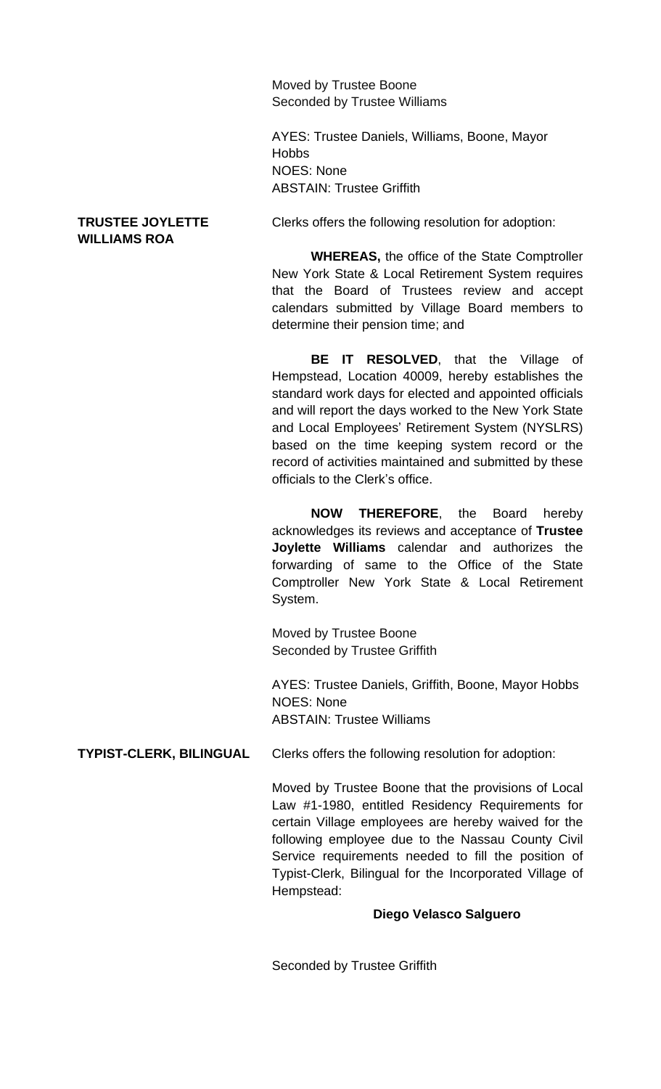Moved by Trustee Boone Seconded by Trustee Williams

AYES: Trustee Daniels, Williams, Boone, Mayor **Hobbs** NOES: None ABSTAIN: Trustee Griffith

# **WILLIAMS ROA**

**TRUSTEE JOYLETTE** Clerks offers the following resolution for adoption:

**WHEREAS,** the office of the State Comptroller New York State & Local Retirement System requires that the Board of Trustees review and accept calendars submitted by Village Board members to determine their pension time; and

**BE IT RESOLVED**, that the Village of Hempstead, Location 40009, hereby establishes the standard work days for elected and appointed officials and will report the days worked to the New York State and Local Employees' Retirement System (NYSLRS) based on the time keeping system record or the record of activities maintained and submitted by these officials to the Clerk's office.

**NOW THEREFORE**, the Board hereby acknowledges its reviews and acceptance of **Trustee Joylette Williams** calendar and authorizes the forwarding of same to the Office of the State Comptroller New York State & Local Retirement System.

Moved by Trustee Boone Seconded by Trustee Griffith

AYES: Trustee Daniels, Griffith, Boone, Mayor Hobbs NOES: None ABSTAIN: Trustee Williams

**TYPIST-CLERK, BILINGUAL** Clerks offers the following resolution for adoption:

Moved by Trustee Boone that the provisions of Local Law #1-1980, entitled Residency Requirements for certain Village employees are hereby waived for the following employee due to the Nassau County Civil Service requirements needed to fill the position of Typist-Clerk, Bilingual for the Incorporated Village of Hempstead:

### **Diego Velasco Salguero**

Seconded by Trustee Griffith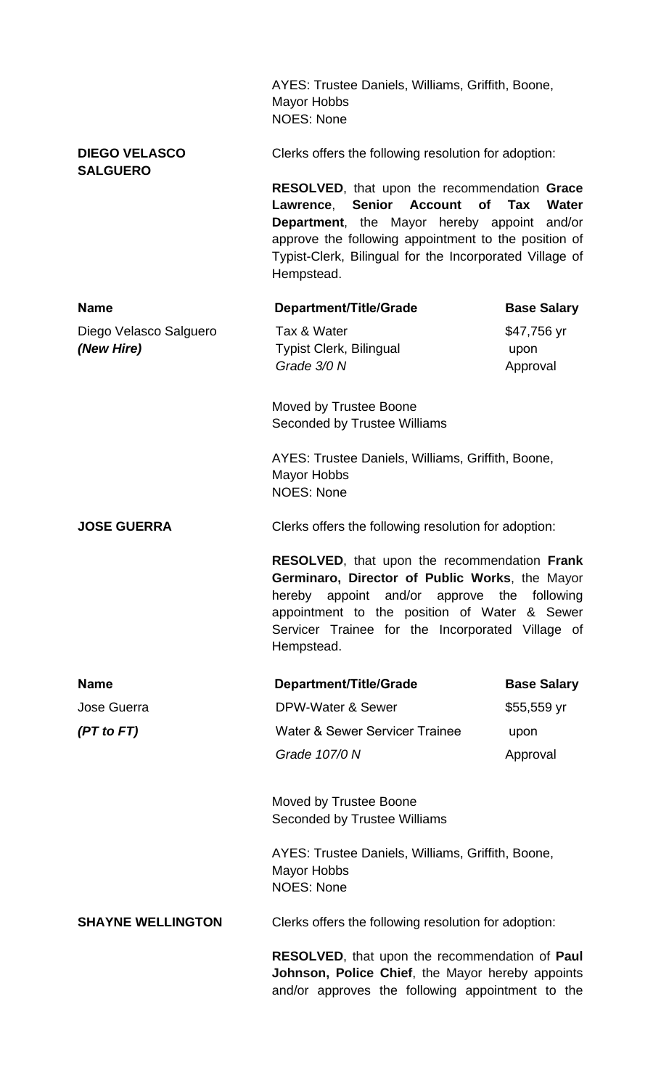|                                         | AYES: Trustee Daniels, Williams, Griffith, Boone,<br><b>Mayor Hobbs</b><br><b>NOES: None</b>                                                                                                                                                                                                                                                                 |                                 |  |
|-----------------------------------------|--------------------------------------------------------------------------------------------------------------------------------------------------------------------------------------------------------------------------------------------------------------------------------------------------------------------------------------------------------------|---------------------------------|--|
| <b>DIEGO VELASCO</b><br><b>SALGUERO</b> | Clerks offers the following resolution for adoption:<br>RESOLVED, that upon the recommendation Grace<br>Lawrence, Senior Account<br><b>of</b><br>Tax<br><b>Water</b><br><b>Department</b> , the Mayor hereby appoint and/or<br>approve the following appointment to the position of<br>Typist-Clerk, Bilingual for the Incorporated Village of<br>Hempstead. |                                 |  |
|                                         |                                                                                                                                                                                                                                                                                                                                                              |                                 |  |
| <b>Name</b>                             | Department/Title/Grade                                                                                                                                                                                                                                                                                                                                       | <b>Base Salary</b>              |  |
| Diego Velasco Salguero<br>(New Hire)    | Tax & Water<br><b>Typist Clerk, Bilingual</b><br>Grade 3/0 N                                                                                                                                                                                                                                                                                                 | \$47,756 yr<br>upon<br>Approval |  |
|                                         | Moved by Trustee Boone<br><b>Seconded by Trustee Williams</b>                                                                                                                                                                                                                                                                                                |                                 |  |
|                                         | AYES: Trustee Daniels, Williams, Griffith, Boone,<br><b>Mayor Hobbs</b><br><b>NOES: None</b>                                                                                                                                                                                                                                                                 |                                 |  |
| <b>JOSE GUERRA</b>                      | Clerks offers the following resolution for adoption:                                                                                                                                                                                                                                                                                                         |                                 |  |
|                                         | <b>RESOLVED, that upon the recommendation Frank</b><br>Germinaro, Director of Public Works, the Mayor<br>hereby appoint and/or approve the following<br>appointment to the position of Water & Sewer<br>Servicer Trainee for the Incorporated Village of<br>Hempstead.                                                                                       |                                 |  |
| <b>Name</b>                             | Department/Title/Grade                                                                                                                                                                                                                                                                                                                                       | <b>Base Salary</b>              |  |
| <b>Jose Guerra</b>                      | <b>DPW-Water &amp; Sewer</b>                                                                                                                                                                                                                                                                                                                                 | \$55,559 yr                     |  |
| (PT to FT)                              | Water & Sewer Servicer Trainee                                                                                                                                                                                                                                                                                                                               | upon                            |  |
|                                         | Grade 107/0 N                                                                                                                                                                                                                                                                                                                                                | Approval                        |  |
|                                         | Moved by Trustee Boone<br><b>Seconded by Trustee Williams</b>                                                                                                                                                                                                                                                                                                |                                 |  |
|                                         | AYES: Trustee Daniels, Williams, Griffith, Boone,<br><b>Mayor Hobbs</b><br><b>NOES: None</b>                                                                                                                                                                                                                                                                 |                                 |  |
| <b>SHAYNE WELLINGTON</b>                | Clerks offers the following resolution for adoption:                                                                                                                                                                                                                                                                                                         |                                 |  |
|                                         | RESOLVED, that upon the recommendation of Paul<br>Johnson, Police Chief, the Mayor hereby appoints<br>and/or approves the following appointment to the                                                                                                                                                                                                       |                                 |  |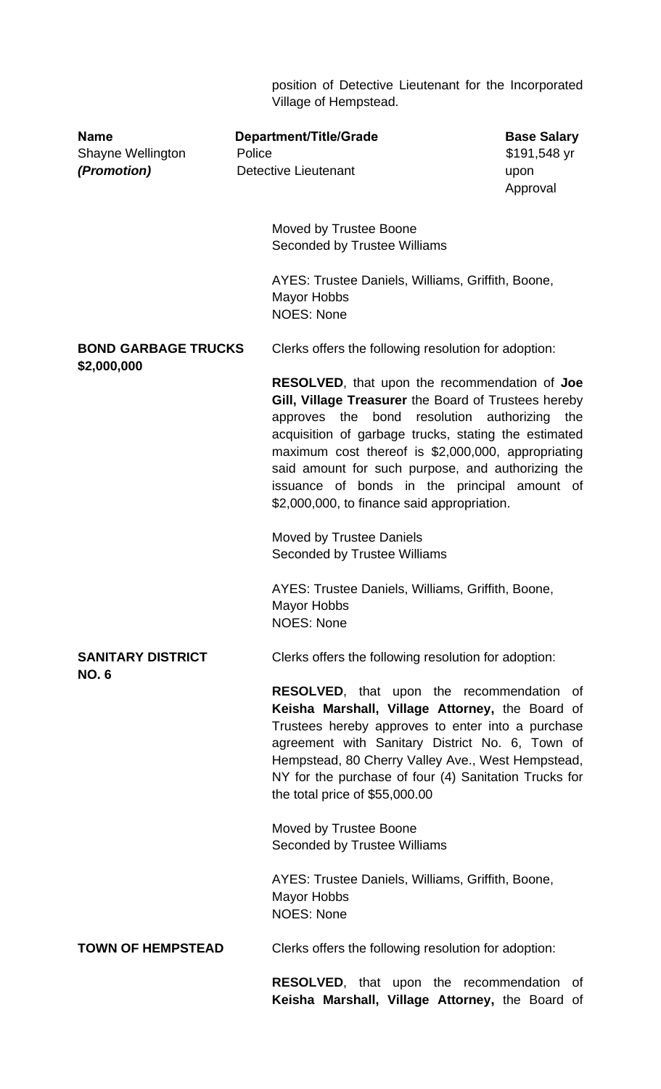position of Detective Lieutenant for the Incorporated Village of Hempstead.

| <b>Name</b><br>Shayne Wellington<br>(Promotion) | <b>Department/Title/Grade</b><br>Police<br><b>Detective Lieutenant</b>                                                                                                                                                                                                                                                                                                                                                     | <b>Base Salary</b><br>\$191,548 yr<br>upon<br>Approval |
|-------------------------------------------------|----------------------------------------------------------------------------------------------------------------------------------------------------------------------------------------------------------------------------------------------------------------------------------------------------------------------------------------------------------------------------------------------------------------------------|--------------------------------------------------------|
|                                                 | Moved by Trustee Boone<br><b>Seconded by Trustee Williams</b>                                                                                                                                                                                                                                                                                                                                                              |                                                        |
|                                                 | AYES: Trustee Daniels, Williams, Griffith, Boone,<br><b>Mayor Hobbs</b><br><b>NOES: None</b>                                                                                                                                                                                                                                                                                                                               |                                                        |
| <b>BOND GARBAGE TRUCKS</b>                      | Clerks offers the following resolution for adoption:                                                                                                                                                                                                                                                                                                                                                                       |                                                        |
| \$2,000,000                                     | <b>RESOLVED, that upon the recommendation of Joe</b><br>Gill, Village Treasurer the Board of Trustees hereby<br>approves the bond resolution authorizing<br>acquisition of garbage trucks, stating the estimated<br>maximum cost thereof is \$2,000,000, appropriating<br>said amount for such purpose, and authorizing the<br>issuance of bonds in the principal amount of<br>\$2,000,000, to finance said appropriation. | the                                                    |
|                                                 | <b>Moved by Trustee Daniels</b><br><b>Seconded by Trustee Williams</b>                                                                                                                                                                                                                                                                                                                                                     |                                                        |
|                                                 | AYES: Trustee Daniels, Williams, Griffith, Boone,<br>Mayor Hobbs<br><b>NOES: None</b>                                                                                                                                                                                                                                                                                                                                      |                                                        |
| <b>SANITARY DISTRICT</b>                        | Clerks offers the following resolution for adoption:                                                                                                                                                                                                                                                                                                                                                                       |                                                        |
| <b>NO.6</b>                                     | <b>RESOLVED,</b> that upon the recommendation of<br>Keisha Marshall, Village Attorney, the Board of<br>Trustees hereby approves to enter into a purchase<br>agreement with Sanitary District No. 6, Town of<br>Hempstead, 80 Cherry Valley Ave., West Hempstead,<br>NY for the purchase of four (4) Sanitation Trucks for<br>the total price of \$55,000.00                                                                |                                                        |
|                                                 | Moved by Trustee Boone<br>Seconded by Trustee Williams                                                                                                                                                                                                                                                                                                                                                                     |                                                        |
|                                                 | AYES: Trustee Daniels, Williams, Griffith, Boone,<br><b>Mayor Hobbs</b><br><b>NOES: None</b>                                                                                                                                                                                                                                                                                                                               |                                                        |
| <b>TOWN OF HEMPSTEAD</b>                        | Clerks offers the following resolution for adoption:                                                                                                                                                                                                                                                                                                                                                                       |                                                        |
|                                                 | <b>RESOLVED,</b> that upon the recommendation<br>Keisha Marshall, Village Attorney, the Board of                                                                                                                                                                                                                                                                                                                           | of                                                     |